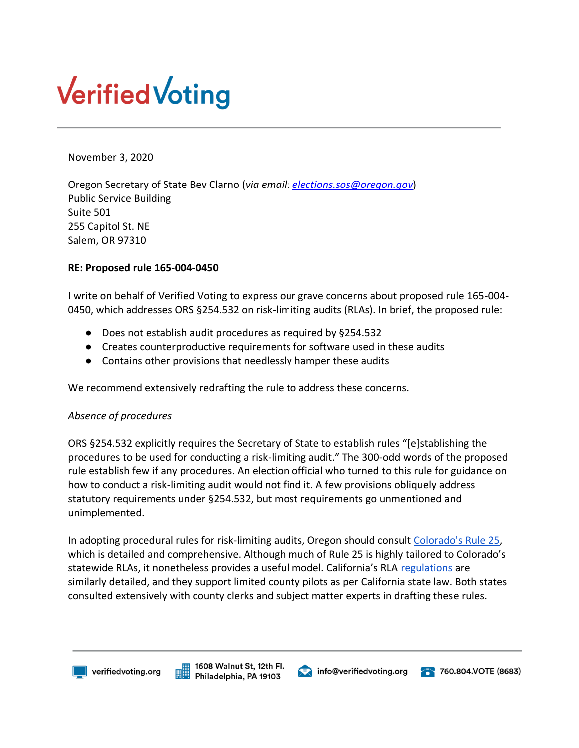# **Verified Voting**

November 3, 2020

Oregon Secretary of State Bev Clarno (*via email: [elections.sos@oregon.gov](mailto:elections.sos@oregon.gov)*) Public Service Building Suite 501 255 Capitol St. NE Salem, OR 97310

## **RE: Proposed rule 165-004-0450**

I write on behalf of Verified Voting to express our grave concerns about proposed rule 165-004- 0450, which addresses ORS §254.532 on risk-limiting audits (RLAs). In brief, the proposed rule:

- Does not establish audit procedures as required by §254.532
- Creates counterproductive requirements for software used in these audits
- Contains other provisions that needlessly hamper these audits

We recommend extensively redrafting the rule to address these concerns.

## *Absence of procedures*

ORS §254.532 explicitly requires the Secretary of State to establish rules "[e]stablishing the procedures to be used for conducting a risk-limiting audit." The 300-odd words of the proposed rule establish few if any procedures. An election official who turned to this rule for guidance on how to conduct a risk-limiting audit would not find it. A few provisions obliquely address statutory requirements under §254.532, but most requirements go unmentioned and unimplemented.

In adopting procedural rules for risk-limiting audits, Oregon should consult [Colorado's Rule 25,](https://www.sos.state.co.us/pubs/rule_making/CurrentRules/8CCR1505-1/Rule25.pdf) which is detailed and comprehensive. Although much of Rule 25 is highly tailored to Colorado's statewide RLAs, it nonetheless provides a useful model. California's RLA [regulations](https://www.sos.ca.gov/administration/regulations/current-regulations/elections/risk-limiting-audits-emergency-regulations) are similarly detailed, and they support limited county pilots as per California state law. Both states consulted extensively with county clerks and subject matter experts in drafting these rules.





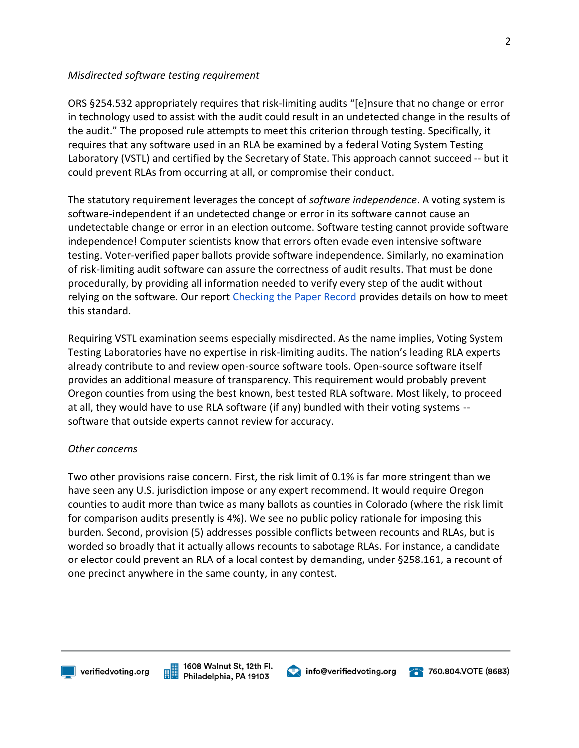#### *Misdirected software testing requirement*

ORS §254.532 appropriately requires that risk-limiting audits "[e]nsure that no change or error in technology used to assist with the audit could result in an undetected change in the results of the audit." The proposed rule attempts to meet this criterion through testing. Specifically, it requires that any software used in an RLA be examined by a federal Voting System Testing Laboratory (VSTL) and certified by the Secretary of State. This approach cannot succeed -- but it could prevent RLAs from occurring at all, or compromise their conduct.

The statutory requirement leverages the concept of *software independence*. A voting system is software-independent if an undetected change or error in its software cannot cause an undetectable change or error in an election outcome. Software testing cannot provide software independence! Computer scientists know that errors often evade even intensive software testing. Voter-verified paper ballots provide software independence. Similarly, no examination of risk-limiting audit software can assure the correctness of audit results. That must be done procedurally, by providing all information needed to verify every step of the audit without relying on the software. Our report [Checking the Paper Record](https://verifiedvoting.org/publication/checking-the-paper-record-a-guide-for-public-oversight-of-tabulation-audits-2/) provides details on how to meet this standard.

Requiring VSTL examination seems especially misdirected. As the name implies, Voting System Testing Laboratories have no expertise in risk-limiting audits. The nation's leading RLA experts already contribute to and review open-source software tools. Open-source software itself provides an additional measure of transparency. This requirement would probably prevent Oregon counties from using the best known, best tested RLA software. Most likely, to proceed at all, they would have to use RLA software (if any) bundled with their voting systems - software that outside experts cannot review for accuracy.

### *Other concerns*

Two other provisions raise concern. First, the risk limit of 0.1% is far more stringent than we have seen any U.S. jurisdiction impose or any expert recommend. It would require Oregon counties to audit more than twice as many ballots as counties in Colorado (where the risk limit for comparison audits presently is 4%). We see no public policy rationale for imposing this burden. Second, provision (5) addresses possible conflicts between recounts and RLAs, but is worded so broadly that it actually allows recounts to sabotage RLAs. For instance, a candidate or elector could prevent an RLA of a local contest by demanding, under §258.161, a recount of one precinct anywhere in the same county, in any contest.



info@verifiedvoting.org 760.804.VOTE (8683)